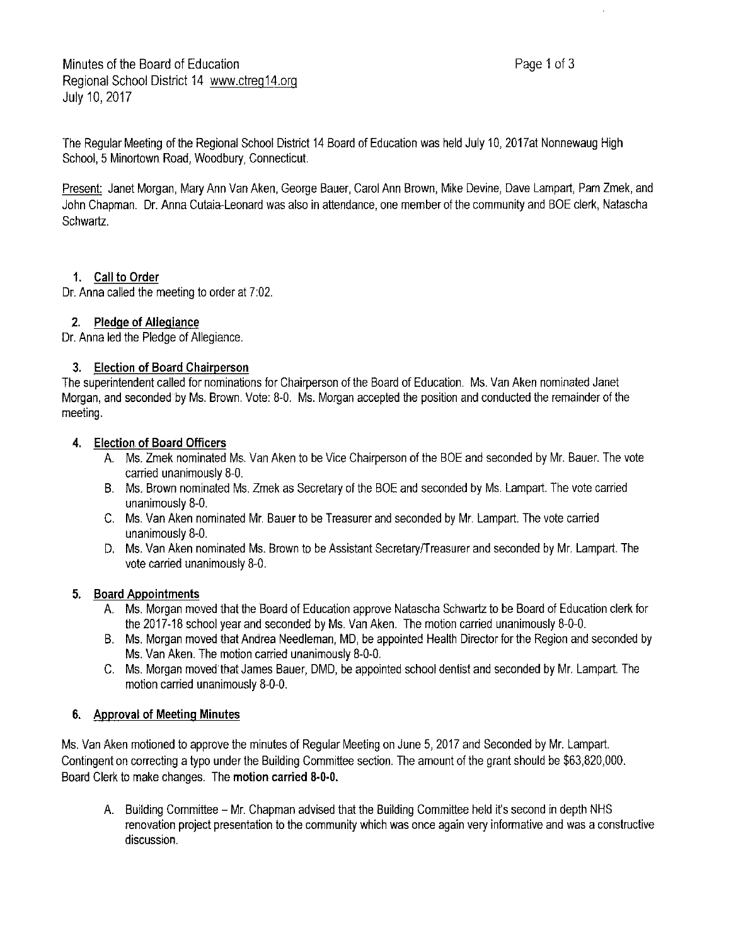The Regular Meeting of the Regional School District 14 Board of Education was held July 10, 2017at Nonnewaug High School, 5 Minortown Road, Woodbury, Connecticut.

Present: Janet Morgan, Mary Ann Van Aken, George Bauer, Carol Ann Brown, Mike Devine, Dave Lampart, Pam Zmek, and John Chapman. Dr. Anna Cutaia-Leonard was also in attendance, one member of the community and BOE clerk, Natascha Schwartz.

# **1. Call to Order**

Dr. Anna called the meeting to order at 7:02.

### **2. Pledge of Allegiance**

Dr. Anna led the Pledge of Allegiance.

### **3. Election of Board Chairperson**

The superintendent called for nominations for Chairperson of the Board of Education. Ms. Van Aken nominated Janet Morgan, and seconded by Ms. Brown. Vote: 8-0. Ms. Morgan accepted the position and conducted the remainder of the meeting.

### **4. Election of Board Officers**

- A. Ms. Zmek nominated Ms. Van Aken to be Vice Chairperson of the BOE and seconded by Mr. Bauer. The vote carried unanimously 8-0.
- B. Ms. Brown nominated Ms. Zmek as Secretary of the BOE and seconded by Ms. Lampart. The vote carried unanimously 8-0.
- C. Ms. Van Aken nominated Mr. Bauer to be Treasurer and seconded by Mr. Lampart. The vote carried unanimously 8-0.
- D. Ms. Van Aken nominated Ms. Brown to be Assistant Secretary/Treasurer and seconded by Mr. Lampart. The vote carried unanimously 8-0.

# **5. Board Appointments**

- A. Ms. Morgan moved that the Board of Education approve Natascha Schwartz to be Board of Education clerk for the 2017-18 school year and seconded by Ms. Van Aken. The motion carried unanimously 8-0-0.
- B. Ms. Morgan moved that Andrea Needleman, MD, be appointed Health Director for the Region and seconded by Ms. Van Aken. The motion carried unanimously 8-0-0.
- C. Ms. Morgan moved that James Bauer, DMD, be appointed school dentist and seconded by Mr. Lampart. The motion carried unanimously 8-0-0.

# **6. Approval of Meeting Minutes**

Ms. Van Aken motioned to approve the minutes of Regular Meeting on June 5, 2017 and Seconded by Mr. Lampart. Contingent on correcting a typo under the Building Committee section. The amount of the grant should be \$63,820,000. Board Clerk to make changes. The **motion carried 8-0-0.** 

A. Building Committee - Mr. Chapman advised that the Building Committee held it's second in depth NHS renovation project presentation to the community which was once again very informative and was a constructive discussion.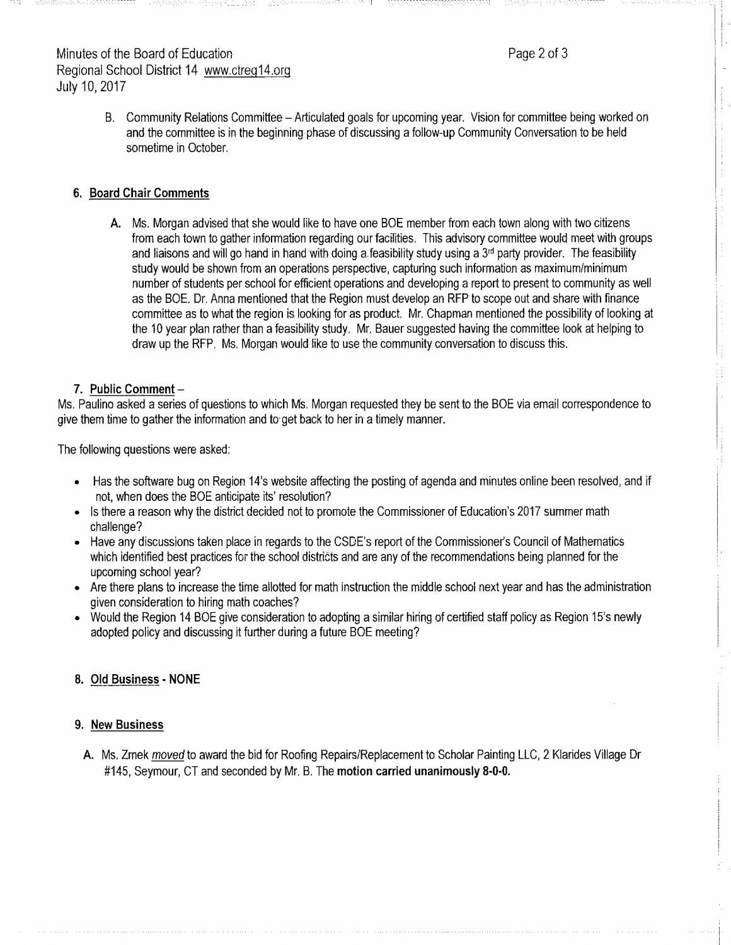# Minutes of the Board of Education **Page 2of 3** Regional School District 14 www.ctreg14.org July 10, 2017

B. Community Relations Committee - Articulated goals for upcoming year. Vision for committee being worked on and the committee is in the beginning phase of discussing afollow-up Community Conversation to be held sometime in October.

#### **6. Board Chair Comments**

**A.** Ms. Morgan advised that she would like to have one BOE member from each town along with two citizens from each town to gather information regarding our facilities. This advisory committee would meet with groups and liaisons and will go hand in hand with doing a feasibility study using a  $3<sup>rd</sup>$  party provider. The feasibility study would be shown from an operations perspective, capturing such information as maximum/minimum number of students per school for efficient operations and developing areport to present to community as well as the BOE. Dr. Anna mentioned that the Region must develop an RFP to scope out and share with finance committee as to what the region is looking for as product. Mr. Chapman mentioned the posslbillty of looking at the 10 year plan rather than afeasibility study. Mr. Bauer suggested having the committee look at helping to draw up the RFP. Ms. Morgan would like to use the community conversation to discuss this.

#### 7. Public **Comment-**

Ms. Paulino asked aseries of questions to which Ms. Morgan requested they be sent to the BOE via email correspondence to give them time to gather the information and to-get back to her in a timely manner.

The following questions were asked:

- Has the software bug on Region 14's website affecting the posting of agenda and minutes online been resolved, and if not, when does the BOE anticipate its' resolution?
- Is there a reason why the district decided not to promote the Commissioner of Education's 2017 summer math challenge?
- Have any discussions taken place in regards to the CSDE's report of the Commissioner's Council of Mathematics which identified best practices for the school districts and are any of the recommendations being planned for the upcoming school year?
- Are there plans to increase the time allotted for math instruction the middle school next year and has the administration given consideration to hiring math coaches?
- Would the Region 14 BOE give consideration to adopting asimilar hiring of certified staff policy as Region 15's newly adopted policy and discussing it further during a future BOE meeting?

#### **8. Old Business** - **NONE**

#### **9. New Business**

**A.** Ms. Zmek moved to award the bid for Roofing Repairs/Replacement to Scholar Painting LLC, 2 Klarides Village Dr #145, Seymour, CT and seconded by Mr. B. The **motion carried unanimously 8-0-0.**